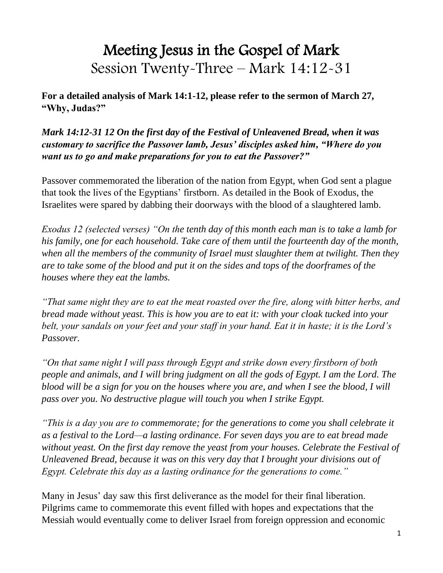# Meeting Jesus in the Gospel of Mark Session Twenty-Three – Mark 14:12-31

**For a detailed analysis of Mark 14:1-12, please refer to the sermon of March 27, "Why, Judas?"**

*Mark 14:12-31 12 On the first day of the Festival of Unleavened Bread, when it was customary to sacrifice the Passover lamb, Jesus' disciples asked him, "Where do you want us to go and make preparations for you to eat the Passover?"*

Passover commemorated the liberation of the nation from Egypt, when God sent a plague that took the lives of the Egyptians' firstborn. As detailed in the Book of Exodus, the Israelites were spared by dabbing their doorways with the blood of a slaughtered lamb.

*Exodus 12 (selected verses) "On the tenth day of this month each man is to take a lamb for his family, one for each household. Take care of them until the fourteenth day of the month, when all the members of the community of Israel must slaughter them at twilight. Then they are to take some of the blood and put it on the sides and tops of the doorframes of the houses where they eat the lambs.* 

*"That same night they are to eat the meat roasted over the fire, along with bitter herbs, and bread made without yeast. This is how you are to eat it: with your cloak tucked into your belt, your sandals on your feet and your staff in your hand. Eat it in haste; it is the Lord's Passover.*

*"On that same night I will pass through Egypt and strike down every firstborn of both people and animals, and I will bring judgment on all the gods of Egypt. I am the Lord. The blood will be a sign for you on the houses where you are, and when I see the blood, I will pass over you. No destructive plague will touch you when I strike Egypt.*

*"This is a day you are to commemorate; for the generations to come you shall celebrate it as a festival to the Lord—a lasting ordinance. For seven days you are to eat bread made without yeast. On the first day remove the yeast from your houses. Celebrate the Festival of Unleavened Bread, because it was on this very day that I brought your divisions out of Egypt. Celebrate this day as a lasting ordinance for the generations to come."*

Many in Jesus' day saw this first deliverance as the model for their final liberation. Pilgrims came to commemorate this event filled with hopes and expectations that the Messiah would eventually come to deliver Israel from foreign oppression and economic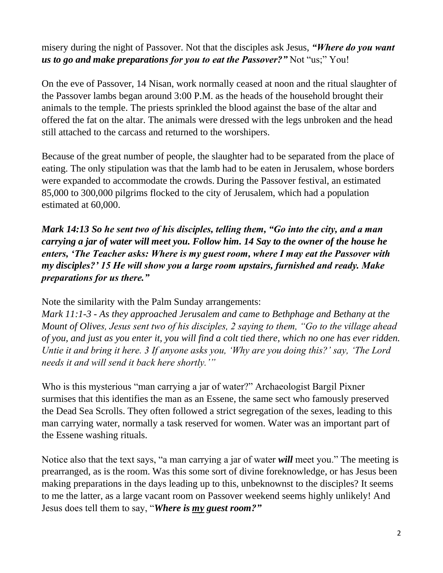misery during the night of Passover. Not that the disciples ask Jesus, *"Where do you want us to go and make preparations for you to eat the Passover?"* Not "us;" You!

On the eve of Passover, 14 Nisan, work normally ceased at noon and the ritual slaughter of the Passover lambs began around 3:00 P.M. as the heads of the household brought their animals to the temple. The priests sprinkled the blood against the base of the altar and offered the fat on the altar. The animals were dressed with the legs unbroken and the head still attached to the carcass and returned to the worshipers.

Because of the great number of people, the slaughter had to be separated from the place of eating. The only stipulation was that the lamb had to be eaten in Jerusalem, whose borders were expanded to accommodate the crowds. During the Passover festival, an estimated 85,000 to 300,000 pilgrims flocked to the city of Jerusalem, which had a population estimated at 60,000.

*Mark 14:13 So he sent two of his disciples, telling them, "Go into the city, and a man carrying a jar of water will meet you. Follow him. 14 Say to the owner of the house he enters, 'The Teacher asks: Where is my guest room, where I may eat the Passover with my disciples?' 15 He will show you a large room upstairs, furnished and ready. Make preparations for us there."*

Note the similarity with the Palm Sunday arrangements:

*Mark 11:1-3 - As they approached Jerusalem and came to Bethphage and Bethany at the Mount of Olives, Jesus sent two of his disciples, 2 saying to them, "Go to the village ahead of you, and just as you enter it, you will find a colt tied there, which no one has ever ridden. Untie it and bring it here. 3 If anyone asks you, 'Why are you doing this?' say, 'The Lord needs it and will send it back here shortly.'"*

Who is this mysterious "man carrying a jar of water?" Archaeologist Bargil Pixner surmises that this identifies the man as an Essene, the same sect who famously preserved the Dead Sea Scrolls. They often followed a strict segregation of the sexes, leading to this man carrying water, normally a task reserved for women. Water was an important part of the Essene washing rituals.

Notice also that the text says, "a man carrying a jar of water *will* meet you." The meeting is prearranged, as is the room. Was this some sort of divine foreknowledge, or has Jesus been making preparations in the days leading up to this, unbeknownst to the disciples? It seems to me the latter, as a large vacant room on Passover weekend seems highly unlikely! And Jesus does tell them to say, "*Where is my guest room?"*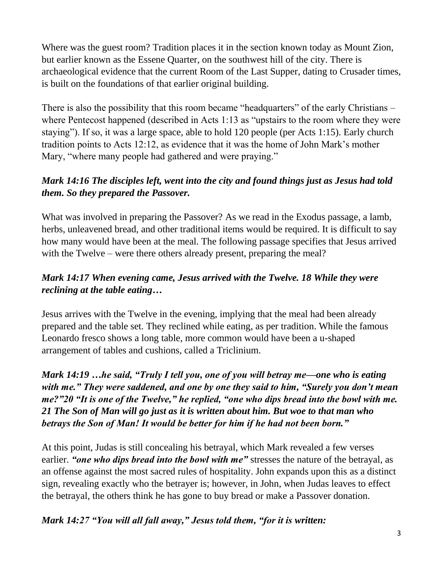Where was the guest room? Tradition places it in the section known today as Mount Zion, but earlier known as the Essene Quarter, on the southwest hill of the city. There is archaeological evidence that the current Room of the Last Supper, dating to Crusader times, is built on the foundations of that earlier original building.

There is also the possibility that this room became "headquarters" of the early Christians – where Pentecost happened (described in Acts 1:13 as "upstairs to the room where they were staying"). If so, it was a large space, able to hold 120 people (per Acts 1:15). Early church tradition points to Acts 12:12, as evidence that it was the home of John Mark's mother Mary, "where many people had gathered and were praying."

# *Mark 14:16 The disciples left, went into the city and found things just as Jesus had told them. So they prepared the Passover.*

What was involved in preparing the Passover? As we read in the Exodus passage, a lamb, herbs, unleavened bread, and other traditional items would be required. It is difficult to say how many would have been at the meal. The following passage specifies that Jesus arrived with the Twelve – were there others already present, preparing the meal?

## *Mark 14:17 When evening came, Jesus arrived with the Twelve. 18 While they were reclining at the table eating…*

Jesus arrives with the Twelve in the evening, implying that the meal had been already prepared and the table set. They reclined while eating, as per tradition. While the famous Leonardo fresco shows a long table, more common would have been a u-shaped arrangement of tables and cushions, called a Triclinium.

*Mark 14:19 …he said, "Truly I tell you, one of you will betray me—one who is eating with me." They were saddened, and one by one they said to him, "Surely you don't mean me?"20 "It is one of the Twelve," he replied, "one who dips bread into the bowl with me. 21 The Son of Man will go just as it is written about him. But woe to that man who betrays the Son of Man! It would be better for him if he had not been born."*

At this point, Judas is still concealing his betrayal, which Mark revealed a few verses earlier. *"one who dips bread into the bowl with me"* stresses the nature of the betrayal, as an offense against the most sacred rules of hospitality. John expands upon this as a distinct sign, revealing exactly who the betrayer is; however, in John, when Judas leaves to effect the betrayal, the others think he has gone to buy bread or make a Passover donation.

*Mark 14:27 "You will all fall away," Jesus told them, "for it is written:*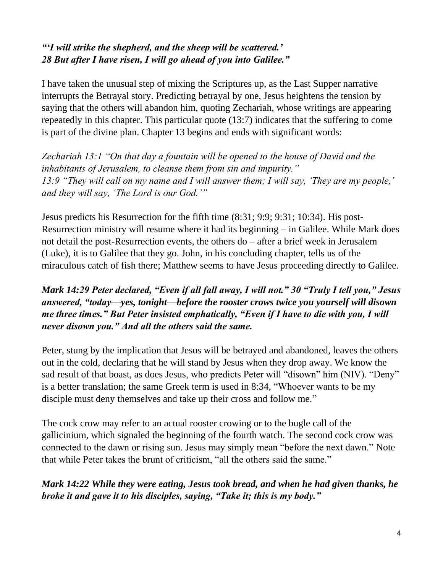### *"'I will strike the shepherd, and the sheep will be scattered.' 28 But after I have risen, I will go ahead of you into Galilee."*

I have taken the unusual step of mixing the Scriptures up, as the Last Supper narrative interrupts the Betrayal story. Predicting betrayal by one, Jesus heightens the tension by saying that the others will abandon him, quoting Zechariah, whose writings are appearing repeatedly in this chapter. This particular quote (13:7) indicates that the suffering to come is part of the divine plan. Chapter 13 begins and ends with significant words:

*Zechariah 13:1 "On that day a fountain will be opened to the house of David and the inhabitants of Jerusalem, to cleanse them from sin and impurity." 13:9 "They will call on my name and I will answer them; I will say, 'They are my people,' and they will say, 'The Lord is our God.'"*

Jesus predicts his Resurrection for the fifth time (8:31; 9:9; 9:31; 10:34). His post-Resurrection ministry will resume where it had its beginning – in Galilee. While Mark does not detail the post-Resurrection events, the others do – after a brief week in Jerusalem (Luke), it is to Galilee that they go. John, in his concluding chapter, tells us of the miraculous catch of fish there; Matthew seems to have Jesus proceeding directly to Galilee.

### *Mark 14:29 Peter declared, "Even if all fall away, I will not." 30 "Truly I tell you," Jesus answered, "today—yes, tonight—before the rooster crows twice you yourself will disown me three times." But Peter insisted emphatically, "Even if I have to die with you, I will never disown you." And all the others said the same.*

Peter, stung by the implication that Jesus will be betrayed and abandoned, leaves the others out in the cold, declaring that he will stand by Jesus when they drop away. We know the sad result of that boast, as does Jesus, who predicts Peter will "disown" him (NIV). "Deny" is a better translation; the same Greek term is used in 8:34, "Whoever wants to be my disciple must deny themselves and take up their cross and follow me."

The cock crow may refer to an actual rooster crowing or to the bugle call of the gallicinium, which signaled the beginning of the fourth watch. The second cock crow was connected to the dawn or rising sun. Jesus may simply mean "before the next dawn." Note that while Peter takes the brunt of criticism, "all the others said the same."

*Mark 14:22 While they were eating, Jesus took bread, and when he had given thanks, he broke it and gave it to his disciples, saying, "Take it; this is my body."*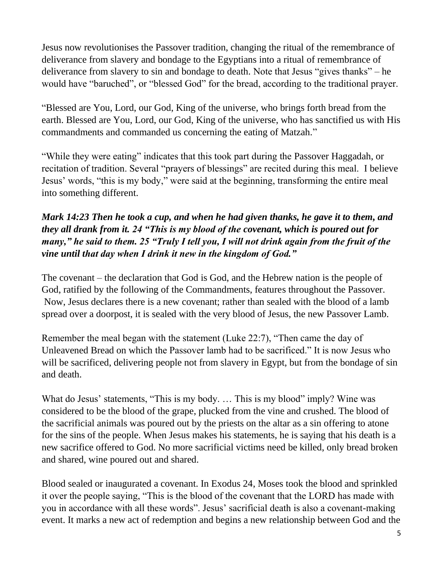Jesus now revolutionises the Passover tradition, changing the ritual of the remembrance of deliverance from slavery and bondage to the Egyptians into a ritual of remembrance of deliverance from slavery to sin and bondage to death. Note that Jesus "gives thanks" – he would have "baruched", or "blessed God" for the bread, according to the traditional prayer.

"Blessed are You, Lord, our God, King of the universe, who brings forth bread from the earth. Blessed are You, Lord, our God, King of the universe, who has sanctified us with His commandments and commanded us concerning the eating of Matzah."

"While they were eating" indicates that this took part during the Passover Haggadah, or recitation of tradition. Several "prayers of blessings" are recited during this meal. I believe Jesus' words, "this is my body," were said at the beginning, transforming the entire meal into something different.

## *Mark 14:23 Then he took a cup, and when he had given thanks, he gave it to them, and they all drank from it. 24 "This is my blood of the covenant, which is poured out for many," he said to them. 25 "Truly I tell you, I will not drink again from the fruit of the vine until that day when I drink it new in the kingdom of God."*

The covenant – the declaration that God is God, and the Hebrew nation is the people of God, ratified by the following of the Commandments, features throughout the Passover. Now, Jesus declares there is a new covenant; rather than sealed with the blood of a lamb spread over a doorpost, it is sealed with the very blood of Jesus, the new Passover Lamb.

Remember the meal began with the statement (Luke 22:7), "Then came the day of Unleavened Bread on which the Passover lamb had to be sacrificed." It is now Jesus who will be sacrificed, delivering people not from slavery in Egypt, but from the bondage of sin and death.

What do Jesus' statements, "This is my body. ... This is my blood" imply? Wine was considered to be the blood of the grape, plucked from the vine and crushed. The blood of the sacrificial animals was poured out by the priests on the altar as a sin offering to atone for the sins of the people. When Jesus makes his statements, he is saying that his death is a new sacrifice offered to God. No more sacrificial victims need be killed, only bread broken and shared, wine poured out and shared.

Blood sealed or inaugurated a covenant. In Exodus 24, Moses took the blood and sprinkled it over the people saying, "This is the blood of the covenant that the LORD has made with you in accordance with all these words". Jesus' sacrificial death is also a covenant-making event. It marks a new act of redemption and begins a new relationship between God and the